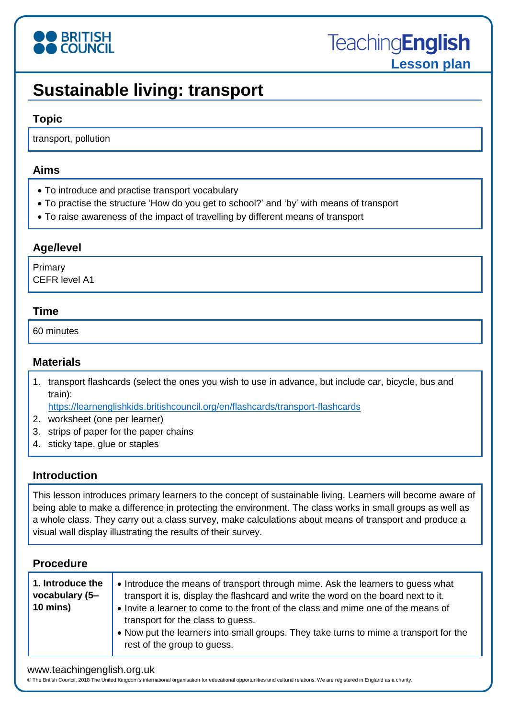

# **Sustainable living: transport**

### **Topic**

transport, pollution

#### **Aims**

- To introduce and practise transport vocabulary
- To practise the structure 'How do you get to school?' and 'by' with means of transport
- To raise awareness of the impact of travelling by different means of transport

### **Age/level**

Primary CEFR level A1

#### **Time**

60 minutes

## **Materials**

1. transport flashcards (select the ones you wish to use in advance, but include car, bicycle, bus and train):

<https://learnenglishkids.britishcouncil.org/en/flashcards/transport-flashcards>

- 2. worksheet (one per learner)
- 3. strips of paper for the paper chains
- 4. sticky tape, glue or staples

### **Introduction**

This lesson introduces primary learners to the concept of sustainable living. Learners will become aware of being able to make a difference in protecting the environment. The class works in small groups as well as a whole class. They carry out a class survey, make calculations about means of transport and produce a visual wall display illustrating the results of their survey.

### **Procedure**

| 1. Introduce the<br>vocabulary (5-<br>10 mins) | • Introduce the means of transport through mime. Ask the learners to guess what<br>transport it is, display the flashcard and write the word on the board next to it.<br>• Invite a learner to come to the front of the class and mime one of the means of<br>transport for the class to guess.<br>. Now put the learners into small groups. They take turns to mime a transport for the<br>rest of the group to guess. |
|------------------------------------------------|-------------------------------------------------------------------------------------------------------------------------------------------------------------------------------------------------------------------------------------------------------------------------------------------------------------------------------------------------------------------------------------------------------------------------|
|------------------------------------------------|-------------------------------------------------------------------------------------------------------------------------------------------------------------------------------------------------------------------------------------------------------------------------------------------------------------------------------------------------------------------------------------------------------------------------|

#### www.teachingenglish.org.uk

© The British Council, 2018 The United Kingdom's international organisation for educational opportunities and cultural relations. We are registered in England as a charity.